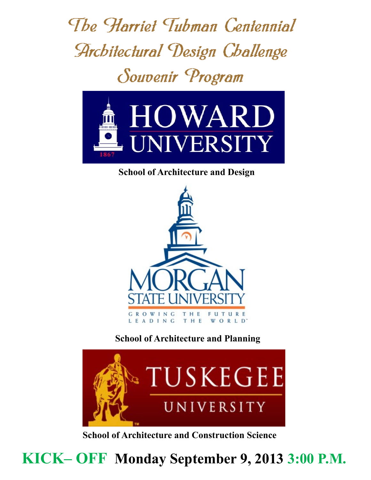The Harriet Tubman Centennial **Architectural Design Challenge** Souvenir Program



## **School of Architecture and Design**



## **School of Architecture and Planning**



**School of Architecture and Construction Science**

**KICK– OFF Monday September 9, 2013 3:00 P.M.**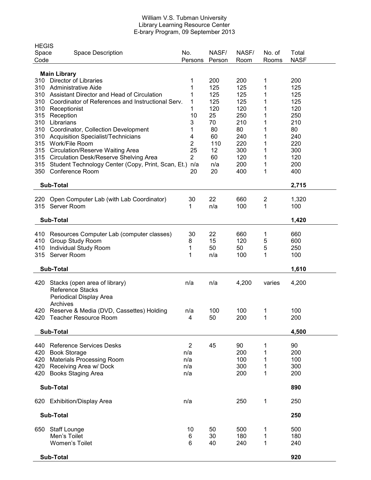#### William V.S. Tubman University Library Learning Resource Center E-brary Program, 09 September 2013

| <b>HEGIS</b><br>Space<br>Code | <b>Space Description</b>                                                                                                                        | No.<br>Persons                             | NASF/<br>Person       | NASF/<br>Room                  | No. of<br>Rooms       | Total<br><b>NASF</b>           |  |
|-------------------------------|-------------------------------------------------------------------------------------------------------------------------------------------------|--------------------------------------------|-----------------------|--------------------------------|-----------------------|--------------------------------|--|
|                               |                                                                                                                                                 |                                            |                       |                                |                       |                                |  |
| 310<br>310<br>310             | <b>Main Library</b><br><b>Director of Libraries</b><br><b>Administrative Aide</b><br>Assistant Director and Head of Circulation                 | 1<br>1<br>1                                | 200<br>125<br>125     | 200<br>125<br>125              | 1<br>1<br>1           | 200<br>125<br>125              |  |
| 310<br>310<br>315             | Coordinator of References and Instructional Serv.<br>Receptionist<br>Reception                                                                  | 1<br>1<br>10                               | 125<br>120<br>25      | 125<br>120<br>250              | 1<br>1<br>1           | 125<br>120<br>250              |  |
| 310<br>310                    | Librarians<br>Coordinator, Collection Development                                                                                               | 3<br>1                                     | 70<br>80              | 210<br>80                      | 1<br>1                | 210<br>80                      |  |
| 310<br>315<br>315             | <b>Acquisition Specialist/Technicians</b><br>Work/File Room<br><b>Circulation/Reserve Waiting Area</b>                                          | 4<br>2<br>25                               | 60<br>110<br>12       | 240<br>220<br>300              | 1<br>1<br>1           | 240<br>220<br>300              |  |
| 315<br>315<br>350             | <b>Circulation Desk/Reserve Shelving Area</b><br>Student Technology Center (Copy, Print, Scan, Et.)<br>Conference Room                          | $\overline{2}$<br>n/a<br>20                | 60<br>n/a<br>20       | 120<br>200<br>400              | 1<br>1<br>1           | 120<br>200<br>400              |  |
| <b>Sub-Total</b>              | 2,715                                                                                                                                           |                                            |                       |                                |                       |                                |  |
| 220<br>315                    | Open Computer Lab (with Lab Coordinator)<br>Server Room                                                                                         | 30<br>1                                    | 22<br>n/a             | 660<br>100                     | 2<br>1                | 1,320<br>100                   |  |
| <b>Sub-Total</b>              | 1,420                                                                                                                                           |                                            |                       |                                |                       |                                |  |
| 410<br>410<br>410<br>315      | Resources Computer Lab (computer classes)<br>Group Study Room<br>Individual Study Room<br>Server Room                                           | 30<br>8<br>1<br>1                          | 22<br>15<br>50<br>n/a | 660<br>120<br>50<br>100        | 1<br>5<br>5<br>1      | 660<br>600<br>250<br>100       |  |
|                               | <b>Sub-Total</b>                                                                                                                                |                                            |                       |                                |                       | 1,610                          |  |
| 420                           | Stacks (open area of library)<br><b>Reference Stacks</b><br>Periodical Display Area<br>Archives                                                 | n/a                                        | n/a                   | 4,200                          | varies                | 4,200                          |  |
| 420                           | Reserve & Media (DVD, Cassettes) Holding<br>420 Teacher Resource Room                                                                           | n/a<br>4                                   | 100<br>50             | 100<br>200                     | 1<br>1                | 100<br>200                     |  |
|                               | <b>Sub-Total</b>                                                                                                                                |                                            |                       |                                |                       | 4,500                          |  |
| 440<br>420                    | <b>Reference Services Desks</b><br>420 Book Storage<br><b>Materials Processing Room</b><br>420 Receiving Area w/ Dock<br>420 Books Staging Area | $\overline{2}$<br>n/a<br>n/a<br>n/a<br>n/a | 45                    | 90<br>200<br>100<br>300<br>200 | 1<br>1<br>1<br>1<br>1 | 90<br>200<br>100<br>300<br>200 |  |
| <b>Sub-Total</b>              | 890                                                                                                                                             |                                            |                       |                                |                       |                                |  |
|                               | 620 Exhibition/Display Area                                                                                                                     | n/a                                        |                       | 250                            | 1                     | 250                            |  |
| <b>Sub-Total</b>              | 250                                                                                                                                             |                                            |                       |                                |                       |                                |  |
| 650                           | <b>Staff Lounge</b><br>Men's Toilet<br>Women's Toilet                                                                                           | 10<br>6<br>6                               | 50<br>30<br>40        | 500<br>180<br>240              | 1<br>1<br>1           | 500<br>180<br>240              |  |
|                               | Sub-Total                                                                                                                                       |                                            |                       |                                |                       | 920                            |  |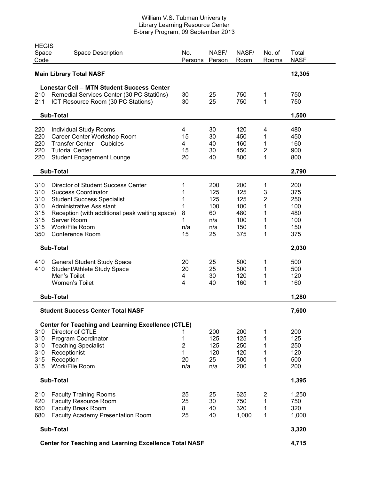#### William V.S. Tubman University Library Learning Resource Center E-brary Program, 09 September 2013

| <b>HEGIS</b><br>Space<br>Code                     | <b>Space Description</b>                                                        | No.<br>Persons      | NASF/<br>Person | NASF/<br>Room | No. of<br>Rooms             | Total<br><b>NASF</b> |
|---------------------------------------------------|---------------------------------------------------------------------------------|---------------------|-----------------|---------------|-----------------------------|----------------------|
| <b>Main Library Total NASF</b>                    |                                                                                 |                     |                 |               |                             | 12,305               |
| <b>Lonestar Cell - MTN Student Success Center</b> |                                                                                 |                     |                 |               |                             |                      |
| 210<br>211                                        | Remedial Services Center (30 PC Stati0ns)<br>ICT Resource Room (30 PC Stations) | 30<br>30            | 25<br>25        | 750<br>750    | 1<br>1                      | 750<br>750           |
| <b>Sub-Total</b>                                  |                                                                                 |                     |                 |               |                             | 1,500                |
| 220                                               | <b>Individual Study Rooms</b>                                                   | 4                   | 30              | 120           | 4                           | 480                  |
| 220                                               | Career Center Workshop Room                                                     | 15                  | 30              | 450           | 1                           | 450                  |
| 220                                               | <b>Transfer Center - Cubicles</b>                                               | 4                   | 40              | 160           | $\mathbf{1}$                | 160                  |
| 220<br>220                                        | <b>Tutorial Center</b><br><b>Student Engagement Lounge</b>                      | 15<br>20            | 30<br>40        | 450<br>800    | $\mathbf 2$<br>$\mathbf{1}$ | 900<br>800           |
|                                                   |                                                                                 |                     |                 |               |                             |                      |
|                                                   | <b>Sub-Total</b>                                                                |                     |                 |               |                             | 2,790                |
| 310                                               | Director of Student Success Center                                              | 1                   | 200             | 200           | 1                           | 200                  |
| 310                                               | <b>Success Coordinator</b>                                                      | 1                   | 125             | 125           | 3                           | 375                  |
| 310<br>310                                        | <b>Student Success Specialist</b><br><b>Administrative Assistant</b>            | 1<br>1              | 125<br>100      | 125<br>100    | 2<br>1                      | 250<br>100           |
| 315                                               | Reception (with additional peak waiting space)                                  | 8                   | 60              | 480           | 1                           | 480                  |
| 315                                               | Server Room                                                                     | 1                   | n/a             | 100           | 1                           | 100                  |
| 315                                               | Work/File Room                                                                  | n/a                 | n/a             | 150           | 1                           | 150                  |
| 350                                               | Conference Room                                                                 | 15                  | 25              | 375           | 1                           | 375                  |
| <b>Sub-Total</b>                                  |                                                                                 | 2,030               |                 |               |                             |                      |
| 410                                               | <b>General Student Study Space</b>                                              | 20                  | 25              | 500           | 1                           | 500                  |
| 410                                               | Student/Athlete Study Space                                                     | 20                  | 25              | 500           | 1                           | 500                  |
|                                                   | Men's Toilet                                                                    | 4                   | 30              | 120           | 1                           | 120                  |
|                                                   | Women's Toilet                                                                  | 4                   | 40              | 160           | 1                           | 160                  |
| <b>Sub-Total</b>                                  |                                                                                 |                     |                 |               |                             | 1,280                |
| <b>Student Success Center Total NASF</b>          |                                                                                 | 7,600               |                 |               |                             |                      |
|                                                   | <b>Center for Teaching and Learning Excellence (CTLE)</b>                       |                     |                 |               |                             |                      |
| 310                                               | Director of CTLE                                                                | 1                   | 200             | 200           | 1                           | 200                  |
| 310<br>310                                        | Program Coordinator<br><b>Teaching Specialist</b>                               | 1<br>$\overline{2}$ | 125<br>125      | 125<br>250    | 1<br>1                      | 125<br>250           |
| 310                                               | Receptionist                                                                    | $\mathbf{1}$        | 120             | 120           | 1                           | 120                  |
| 315                                               | Reception                                                                       | 20                  | 25              | 500           | 1                           | 500                  |
| 315                                               | Work/File Room                                                                  | n/a                 | n/a             | 200           | 1                           | 200                  |
|                                                   | <b>Sub-Total</b>                                                                |                     |                 |               |                             |                      |
| 210                                               | <b>Faculty Training Rooms</b>                                                   | 25                  | 25              | 625           | $\overline{2}$              | 1,250                |
| 420                                               | <b>Faculty Resource Room</b>                                                    | 25                  | 30              | 750           | 1                           | 750                  |
| 650                                               | <b>Faculty Break Room</b>                                                       | 8                   | 40              | 320           | 1                           | 320                  |
| 680                                               | Faculty Academy Presentation Room                                               | 25                  | 40              | 1,000         | 1                           | 1,000                |
| <b>Sub-Total</b>                                  |                                                                                 |                     |                 |               |                             | 3,320                |

**Center for Teaching and Learning Excellence Total NASF 4,715**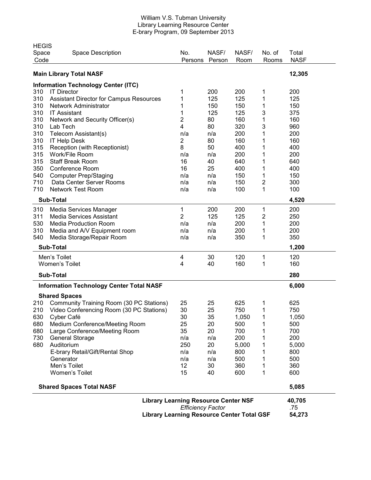#### William V.S. Tubman University Library Learning Resource Center E-brary Program, 09 September 2013

|                                 | <b>HEGIS</b>                                      |                |                 |               |                 |                      |
|---------------------------------|---------------------------------------------------|----------------|-----------------|---------------|-----------------|----------------------|
| Space<br>Code                   | <b>Space Description</b>                          | No.<br>Persons | NASF/<br>Person | NASF/<br>Room | No. of<br>Rooms | Total<br><b>NASF</b> |
|                                 | <b>Main Library Total NASF</b>                    |                |                 |               |                 | 12,305               |
|                                 | <b>Information Technology Center (ITC)</b>        |                |                 |               |                 |                      |
| 310                             | <b>IT Director</b>                                | 1              | 200             | 200           | 1               | 200                  |
| 310                             | <b>Assistant Director for Campus Resources</b>    | 1              | 125             | 125           | 1               | 125                  |
| 310                             | Network Administrator                             | 1              | 150             | 150           | 1               | 150                  |
| 310                             | <b>IT Assistant</b>                               | 1              | 125             | 125           | 3               | 375                  |
| 310                             | Network and Security Officer(s)                   | 2              | 80              | 160           | 1               | 160                  |
| 310                             | Lab Tech                                          | 4              | 80              | 320           | 3               | 960                  |
| 310                             | Telecom Assistant(s)                              | n/a            | n/a             | 200           | 1               | 200                  |
| 310                             | <b>IT Help Desk</b>                               | 2              | 80              | 160           | 1               | 160                  |
| 315                             | Reception (with Receptionist)                     | 8              | 50              | 400           | 1               | 400                  |
| 315                             | Work/File Room                                    | n/a            | n/a             | 200           | 1               | 200                  |
| 315                             | <b>Staff Break Room</b>                           | 16             | 40              | 640           | 1               | 640                  |
| 350                             | Conference Room                                   | 16             | 25              | 400           | 1               | 400                  |
| 540                             | <b>Computer Prep/Staging</b>                      | n/a            | n/a             | 150           | 1               | 150                  |
| 710                             | Data Center Server Rooms                          | n/a            | n/a             | 150           | 2               | 300                  |
| 710                             | <b>Network Test Room</b>                          | n/a            | n/a             | 100           | 1               | 100                  |
| <b>Sub-Total</b><br>4,520       |                                                   |                |                 |               |                 |                      |
| 310                             | Media Services Manager                            | 1              | 200             | 200           | 1               | 200                  |
| 311                             | <b>Media Services Assistant</b>                   | $\overline{2}$ | 125             | 125           | 2               | 250                  |
| 530                             | <b>Media Production Room</b>                      | n/a            | n/a             | 200           | 1               | 200                  |
| 310                             | Media and A/V Equipment room                      | n/a            | n/a             | 200           | 1               | 200                  |
| 540                             | Media Storage/Repair Room                         | n/a            | n/a             | 350           | 1               | 350                  |
|                                 | <b>Sub-Total</b>                                  |                |                 |               |                 | 1,200                |
|                                 | Men's Toilet                                      | 4              | 30              | 120           | 1               | 120                  |
|                                 | <b>Women's Toilet</b>                             | 4              | 40              | 160           | 1               | 160                  |
| <b>Sub-Total</b>                |                                                   |                |                 |               |                 | 280                  |
|                                 | <b>Information Technology Center Total NASF</b>   |                |                 |               |                 | 6,000                |
|                                 | <b>Shared Spaces</b>                              |                |                 |               |                 |                      |
| 210                             | Community Training Room (30 PC Stations)          | 25             | 25              | 625           | 1               | 625                  |
| 210                             | Video Conferencing Room (30 PC Stations)          | 30             | 25              | 750           | 1               | 750                  |
| 630                             | Cyber Café                                        | 30             | 35              | 1,050         | 1               | 1,050                |
| 680                             | Medium Conference/Meeting Room                    | 25             | 20              | 500           | 1               | 500                  |
| 680                             | Large Conference/Meeting Room                     | 35             | 20              | 700           | 1               | 700                  |
| 730                             | <b>General Storage</b>                            | n/a            | n/a             | 200           | 1               | 200                  |
| 680                             | Auditorium                                        | 250            | 20              | 5,000         | 1               | 5,000                |
|                                 | E-brary Retail/Gift/Rental Shop                   | n/a            | n/a             | 800           | 1               | 800                  |
|                                 | Generator                                         | n/a            | n/a             | 500           | 1               | 500                  |
|                                 | Men's Toilet                                      | 12             | 30              | 360           | 1               | 360                  |
|                                 | Women's Toilet                                    | 15             | 40              | 600           | 1               | 600                  |
| <b>Shared Spaces Total NASF</b> |                                                   | 5,085          |                 |               |                 |                      |
|                                 |                                                   | 40,705         |                 |               |                 |                      |
|                                 |                                                   | .75            |                 |               |                 |                      |
|                                 | <b>Library Learning Resource Center Total GSF</b> | 54,273         |                 |               |                 |                      |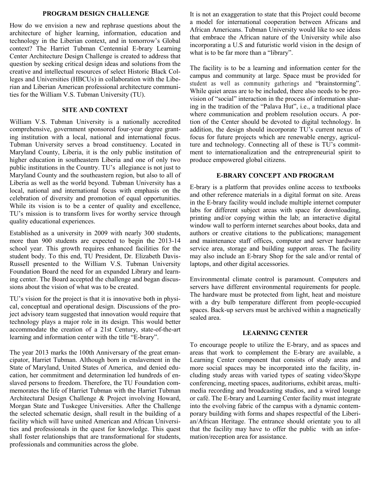#### **PROGRAM DESIGN CHALLENGE**

How do we envision a new and rephrase questions about the architecture of higher learning, information, education and technology in the Liberian context, and in tomorrow's Global context? The Harriet Tubman Centennial E-brary Learning Center Architecture Design Challenge is created to address that question by seeking critical design ideas and solutions from the creative and intellectual resources of select Historic Black Colleges and Universities (HBCUs) in collaboration with the Liberian and Liberian American professional architecture communities for the William V.S. Tubman University (TU).

#### **SITE AND CONTEXT**

William V.S. Tubman University is a nationally accredited comprehensive, government sponsored four-year degree granting institution with a local, national and international focus. Tubman University serves a broad constituency. Located in Maryland County, Liberia, it is the only public institution of higher education in southeastern Liberia and one of only two public institutions in the Country. TU's allegiance is not just to Maryland County and the southeastern region, but also to all of Liberia as well as the world beyond. Tubman University has a local, national and international focus with emphasis on the celebration of diversity and promotion of equal opportunities. While its vision is to be a center of quality and excellence, TU's mission is to transform lives for worthy service through quality educational experiences.

Established as a university in 2009 with nearly 300 students, more than 900 students are expected to begin the 2013-14 school year. This growth requires enhanced facilities for the student body. To this end, TU President, Dr. Elizabeth Davis-Russell presented to the William V.S. Tubman University Foundation Board the need for an expanded Library and learning center. The Board accepted the challenge and began discussions about the vision of what was to be created.

TU's vision for the project is that it is innovative both in physical, conceptual and operational design. Discussions of the project advisory team suggested that innovation would require that technology plays a major role in its design. This would better accommodate the creation of a 21st Century, state-of-the-art learning and information center with the title "E-brary".

The year 2013 marks the 100th Anniversary of the great emancipator, Harriet Tubman. Although born in enslavement in the State of Maryland, United States of America, and denied education, her commitment and determination led hundreds of enslaved persons to freedom. Therefore, the TU Foundation commemorates the life of Harriet Tubman with the Harriet Tubman Architectural Design Challenge & Project involving Howard, Morgan State and Tuskegee Universities. After the Challenge the selected schematic design, shall result in the building of a facility which will have united American and African Universities and professionals in the quest for knowledge. This quest shall foster relationships that are transformational for students, professionals and communities across the globe.

It is not an exaggeration to state that this Project could become a model for international cooperation between Africans and African Americans. Tubman University would like to see ideas that embrace the African nature of the University while also incorporating a U.S and futuristic world vision in the design of what is to be far more than a "library".

The facility is to be a learning and information center for the campus and community at large. Space must be provided for student as well as community gatherings and "brainstorming". While quiet areas are to be included, there also needs to be provision of "social" interaction in the process of information sharing in the tradition of the "Palava Hut", i.e., a traditional place where communication and problem resolution occurs. A portion of the Center should be devoted to digital technology. In addition, the design should incorporate TU's current nexus of focus for future projects which are renewable energy, agriculture and technology. Connecting all of these is TU's commitment to internationalization and the entrepreneurial spirit to produce empowered global citizens.

#### **E-BRARY CONCEPT AND PROGRAM**

E-brary is a platform that provides online access to textbooks and other reference materials in a digital format on site. Areas in the E-brary facility would include multiple internet computer labs for different subject areas with space for downloading, printing and/or copying within the lab; an interactive digital window wall to perform internet searches about books, data and authors or creative citations to the publications; management and maintenance staff offices, computer and server hardware service area, storage and building support areas. The facility may also include an E-brary Shop for the sale and/or rental of laptops, and other digital accessories.

Environmental climate control is paramount. Computers and servers have different environmental requirements for people. The hardware must be protected from light, heat and moisture with a dry bulb temperature different from people-occupied spaces. Back-up servers must be archived within a magnetically sealed area.

#### **LEARNING CENTER**

To encourage people to utilize the E-brary, and as spaces and areas that work to complement the E-brary are available, a Learning Center component that consists of study areas and more social spaces may be incorporated into the facility, including study areas with varied types of seating video/Skype conferencing, meeting spaces, auditoriums, exhibit areas, multimedia recording and broadcasting studios, and a wired lounge or café. The E-brary and Learning Center facility must integrate into the evolving fabric of the campus with a dynamic contemporary building with forms and shapes respectful of the Liberian/African Heritage. The entrance should orientate you to all that the facility may have to offer the public with an information/reception area for assistance.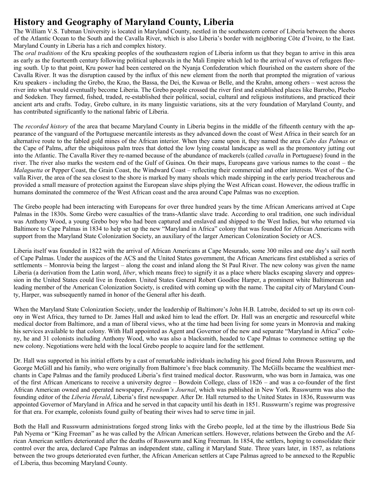## **History and Geography of Maryland County, Liberia**

The William V.S. Tubman University is located in Maryland County, nestled in the southeastern corner of Liberia between the shores of the Atlantic Ocean to the South and the Cavalla River, which is also Liberia's border with neighboring Côte d'Ivoire, to the East. Maryland County in Liberia has a rich and complex history.

The *oral traditions* of the Kru speaking peoples of the southeastern region of Liberia inform us that they began to arrive in this area as early as the fourteenth century following political upheavals in the Mali Empire which led to the arrival of waves of refugees fleeing south. Up to that point, Kru power had been centered on the Nyanja Confederation which flourished on the eastern shore of the Cavalla River. It was the disruption caused by the influx of this new element from the north that prompted the migration of various Kru speakers - including the Grebo, the Krao, the Bassa, the Dei, the Kuwaa or Belle, and the Krahn, among others – west across the river into what would eventually become Liberia. The Grebo people crossed the river first and established places like Barrobo, Pleebo and Sodeken. They farmed, fished, traded, re-established their political, social, cultural and religious institutions, and practiced their ancient arts and crafts. Today, Grebo culture, in its many linguistic variations, sits at the very foundation of Maryland County, and has contributed significantly to the national fabric of Liberia.

The *recorded history* of the area that became Maryland County in Liberia begins in the middle of the fifteenth century with the appearance of the vanguard of the Portuguese mercantile interests as they advanced down the coast of West Africa in their search for an alternative route to the fabled gold mines of the African interior. When they came upon it, they named the area *Cabo das Palmas* or the Cape of Palms, after the ubiquitous palm trees that dotted the low lying coastal landscape as well as the promontory jutting out into the Atlantic. The Cavalla River they re-named because of the abundance of mackerels (called *cavalla* in Portuguese) found in the river. The river also marks the western end of the Gulf of Guinea. On their maps, Europeans gave various names to the coast – the *Malaguetta* or Pepper Coast, the Grain Coast, the Windward Coast – reflecting their commercial and other interests. West of the Cavalla River, the area of the sea closest to the shore is marked by many shoals which made shipping in the early period treacherous and provided a small measure of protection against the European slave ships plying the West African coast. However, the odious traffic in humans dominated the commerce of the West African coast and the area around Cape Palmas was no exception.

The Grebo people had been interacting with Europeans for over three hundred years by the time African Americans arrived at Cape Palmas in the 1830s. Some Grebo were casualties of the trans-Atlantic slave trade. According to oral tradition, one such individual was Anthony Wood, a young Grebo boy who had been captured and enslaved and shipped to the West Indies, but who returned via Baltimore to Cape Palmas in 1834 to help set up the new "Maryland in Africa" colony that was founded for African Americans with support from the Maryland State Colonization Society, an auxiliary of the larger American Colonization Society or ACS.

Liberia itself was founded in 1822 with the arrival of African Americans at Cape Mesurado, some 300 miles and one day's sail north of Cape Palmas. Under the auspices of the ACS and the United States government, the African Americans first established a series of settlements – Monrovia being the largest – along the coast and inland along the St Paul River. The new colony was given the name Liberia (a derivation from the Latin word, *liber*, which means free) to signify it as a place where blacks escaping slavery and oppression in the United States could live in freedom. United States General Robert Goodloe Harper, a prominent white Baltimorean and leading member of the American Colonization Society, is credited with coming up with the name. The capital city of Maryland County, Harper, was subsequently named in honor of the General after his death.

When the Maryland State Colonization Society, under the leadership of Baltimore's John H.B. Latrobe, decided to set up its own colony in West Africa, they turned to Dr. James Hall and asked him to lead the effort. Dr. Hall was an energetic and resourceful white medical doctor from Baltimore, and a man of liberal views, who at the time had been living for some years in Monrovia and making his services available to that colony. With Hall appointed as Agent and Governor of the new and separate "Maryland in Africa" colony, he and 31 colonists including Anthony Wood, who was also a blacksmith, headed to Cape Palmas to commence setting up the new colony. Negotiations were held with the local Grebo people to acquire land for the settlement.

Dr. Hall was supported in his initial efforts by a cast of remarkable individuals including his good friend John Brown Russwurm, and George McGill and his family, who were originally from Baltimore's free black community. The McGills became the wealthiest merchants in Cape Palmas and the family produced Liberia's first trained medical doctor. Russwurm, who was born in Jamaica, was one of the first African Americans to receive a university degree – Bowdoin College, class of 1826 – and was a co-founder of the first African American owned and operated newspaper, *Freedom's Journal*, which was published in New York. Russwurrm was also the founding editor of the *Liberia Herald*, Liberia's first newspaper. After Dr. Hall returned to the United States in 1836, Russwurm was appointed Governor of Maryland in Africa and he served in that capacity until his death in 1851. Russwurm's regime was progressive for that era. For example, colonists found guilty of beating their wives had to serve time in jail.

Both the Hall and Russwurm administrations forged strong links with the Grebo people, led at the time by the illustrious Bede Sia Pah Nyema or "King Freeman" as he was called by the African American settlers. However, relations between the Grebo and the African American settlers deteriorated after the deaths of Russwurm and King Freeman. In 1854, the settlers, hoping to consolidate their control over the area, declared Cape Palmas an independent state, calling it Maryland State. Three years later, in 1857, as relations between the two groups deteriorated even further, the African American settlers at Cape Palmas agreed to be annexed to the Republic of Liberia, thus becoming Maryland County.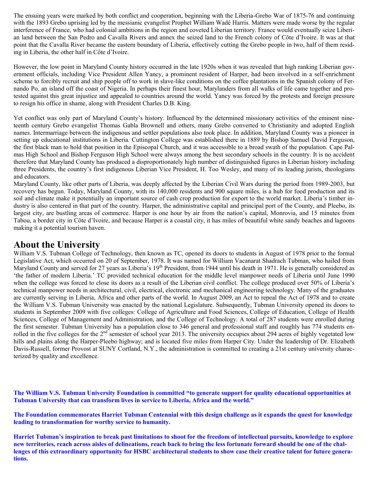The ensuing years were marked by both conflict and cooperation, beginning with the Liberia-Grebo War of 1875-76 and continuing with the 1893 Grebo uprising led by the messianic evangelist Prophet William Wadé Harris. Matters were made worse by the regular interference of France, who had colonial ambitions in the region and coveted Liberian territory. France would eventually seize Liberian land between the San Pedro and Cavalla Rivers and annex the seized land to the French colony of Côte d'Ivoire. It was at that point that the Cavalla River became the eastern boundary of Liberia, effectively cutting the Grebo people in two, half of them residing in Liberia, the other half in Côte d'Ivoire.

However, the low point in Maryland County history occurred in the late 1920s when it was revealed that high ranking Liberian government officials, including Vice President Allen Yancy, a prominent resident of Harper, had been involved in a self-enrichment scheme to forcibly recruit and ship people off to work in slave-like conditions on the coffee plantations in the Spanish colony of Fernando Po, an island off the coast of Nigeria. In perhaps their finest hour, Marylanders from all walks of life came together and protested against this great injustice and appealed to countries around the world. Yancy was forced by the protests and foreign pressure to resign his office in shame, along with President Charles D.B. King.

Yet conflict was only part of Maryland County's history. Influenced by the determined missionary activities of the eminent nineteenth century Grebo evangelist Thomas Gabla Brownell and others, many Grebo converted to Christianity and adopted English names. Intermarriage between the indigenous and settler populations also took place. In addition, Maryland County was a pioneer in setting up educational institutions in Liberia. Cuttington College was established there in 1889 by Bishop Samuel David Ferguson, the first black man to hold that position in the Episcopal Church, and it was accessible to a broad swath of the population. Cape Palmas High School and Bishop Ferguson High School were always among the best secondary schools in the country. It is no accident therefore that Maryland County has produced a disproportionately high number of distinguished figures in Liberian history including three Presidents, the country's first indigenous Liberian Vice President, H. Too Wesley, and many of its leading jurists, theologians and educators.

Maryland County, like other parts of Liberia, was deeply affected by the Liberian Civil Wars during the period from 1989-2003, but recovery has begun. Today, Maryland County, with its 140,000 residents and 900 square miles, is a hub for food production and its soil and climate make it potentially an important source of cash crop production for export to the world market. Liberia's timber industry is also centered in that part of the country. Harper, the administrative capital and principal port of the County, and Pleebo, its largest city, are bustling areas of commerce. Harper is one hour by air from the nation's capital, Monrovia, and 15 minutes from Tabou, a border city in Côte d'Ivoire, and because Harper is a coastal city, it has miles of beautiful white sandy beaches and lagoons making it a potential tourism haven.

## **About the University**

William V.S. Tubman College of Technology, then known as TC, opened its doors to students in August of 1978 prior to the formal Legislative Act, which occurred on 20 of September, 1978. It was named for William Vacanarat Shadrach Tubman, who hailed from Maryland County and served for 27 years as Liberia's  $19<sup>th</sup>$  President, from 1944 until his death in 1971. He is generally considered as 'the father of modern Liberia.' TC provided technical education for the middle level manpower needs of Liberia until June 1990 when the college was forced to close its doors as a result of the Liberian civil conflict. The college produced over 50% of Liberia's technical manpower needs in architectural, civil, electrical, electronic and mechanical engineering technology. Many of the graduates are currently serving in Liberia, Africa and other parts of the world. In August 2009, an Act to repeal the Act of 1978 and to create the William V.S. Tubman University was enacted by the national Legislature. Subsequently, Tubman University opened its doors to students in September 2009 with five colleges: College of Agriculture and Food Sciences, College of Education, College of Health Sciences, College of Management and Administration, and the College of Technology. A total of 287 students were enrolled during the first semester. Tubman University has a population close to 346 general and professional staff and roughly has 774 students enrolled in the five colleges for the  $2^{nd}$  semester of school year 2013. The university occupies about 294 acres of highly vegetated low hills and plains along the Harper-Pleebo highway; and is located five miles from Harper City. Under the leadership of Dr. Elizabeth Davis-Russell, former Provost at SUNY Cortland, N.Y., the administration is committed to creating a 21st century university characterized by quality and excellence.

**The William V.S. Tubman University Foundation is committed "to generate support for quality educational opportunities at Tubman University that can transform lives in service to Liberia, Africa and the world."**

**The Foundation commemorates Harriet Tubman Centennial with this design challenge as it expands the quest for knowledge leading to transformation for worthy service to humanity.**

**Harriet Tubman's inspiration to break past limitations to shoot for the freedom of intellectual pursuits, knowledge to explore new territories, reach across aisles of delineations, reach back to bring the less fortunate forward should be one of the challenges of this extraordinary opportunity for HSBC architectural students to show case their creative talent for future generations.**